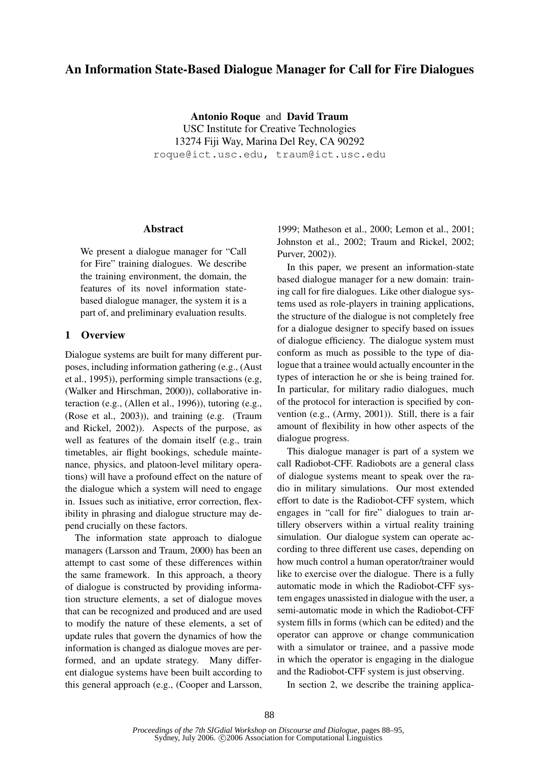# An Information State-Based Dialogue Manager for Call for Fire Dialogues

Antonio Roque and David Traum USC Institute for Creative Technologies 13274 Fiji Way, Marina Del Rey, CA 90292 roque@ict.usc.edu, traum@ict.usc.edu

### Abstract

We present a dialogue manager for "Call for Fire" training dialogues. We describe the training environment, the domain, the features of its novel information statebased dialogue manager, the system it is a part of, and preliminary evaluation results.

# 1 Overview

Dialogue systems are built for many different purposes, including information gathering (e.g., (Aust et al., 1995)), performing simple transactions (e.g, (Walker and Hirschman, 2000)), collaborative interaction (e.g., (Allen et al., 1996)), tutoring (e.g., (Rose et al., 2003)), and training (e.g. (Traum and Rickel, 2002)). Aspects of the purpose, as well as features of the domain itself (e.g., train timetables, air flight bookings, schedule maintenance, physics, and platoon-level military operations) will have a profound effect on the nature of the dialogue which a system will need to engage in. Issues such as initiative, error correction, flexibility in phrasing and dialogue structure may depend crucially on these factors.

The information state approach to dialogue managers (Larsson and Traum, 2000) has been an attempt to cast some of these differences within the same framework. In this approach, a theory of dialogue is constructed by providing information structure elements, a set of dialogue moves that can be recognized and produced and are used to modify the nature of these elements, a set of update rules that govern the dynamics of how the information is changed as dialogue moves are performed, and an update strategy. Many different dialogue systems have been built according to this general approach (e.g., (Cooper and Larsson, 1999; Matheson et al., 2000; Lemon et al., 2001; Johnston et al., 2002; Traum and Rickel, 2002; Purver, 2002)).

In this paper, we present an information-state based dialogue manager for a new domain: training call for fire dialogues. Like other dialogue systems used as role-players in training applications, the structure of the dialogue is not completely free for a dialogue designer to specify based on issues of dialogue efficiency. The dialogue system must conform as much as possible to the type of dialogue that a trainee would actually encounter in the types of interaction he or she is being trained for. In particular, for military radio dialogues, much of the protocol for interaction is specified by convention (e.g., (Army, 2001)). Still, there is a fair amount of flexibility in how other aspects of the dialogue progress.

This dialogue manager is part of a system we call Radiobot-CFF. Radiobots are a general class of dialogue systems meant to speak over the radio in military simulations. Our most extended effort to date is the Radiobot-CFF system, which engages in "call for fire" dialogues to train artillery observers within a virtual reality training simulation. Our dialogue system can operate according to three different use cases, depending on how much control a human operator/trainer would like to exercise over the dialogue. There is a fully automatic mode in which the Radiobot-CFF system engages unassisted in dialogue with the user, a semi-automatic mode in which the Radiobot-CFF system fills in forms (which can be edited) and the operator can approve or change communication with a simulator or trainee, and a passive mode in which the operator is engaging in the dialogue and the Radiobot-CFF system is just observing.

In section 2, we describe the training applica-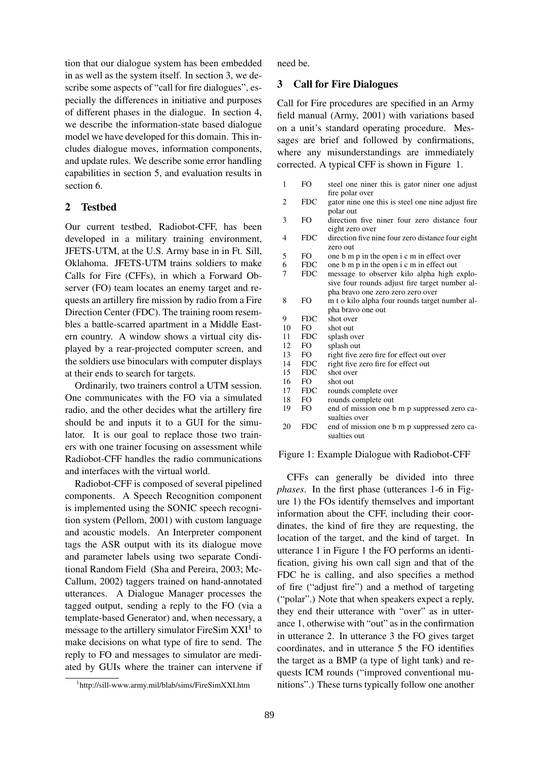tion that our dialogue system has been embedded in as well as the system itself. In section 3, we describe some aspects of "call for fire dialogues", especially the differences in initiative and purposes of different phases in the dialogue. In section 4, we describe the information-state based dialogue model we have developed for this domain. This includes dialogue moves, information components, and update rules. We describe some error handling capabilities in section 5, and evaluation results in section 6.

# 2 Testbed

Our current testbed, Radiobot-CFF, has been developed in a military training environment, JFETS-UTM, at the U.S. Army base in in Ft. Sill, Oklahoma. JFETS-UTM trains soldiers to make Calls for Fire (CFFs), in which a Forward Observer (FO) team locates an enemy target and requests an artillery fire mission by radio from a Fire Direction Center (FDC). The training room resembles a battle-scarred apartment in a Middle Eastern country. A window shows a virtual city displayed by a rear-projected computer screen, and the soldiers use binoculars with computer displays at their ends to search for targets.

Ordinarily, two trainers control a UTM session. One communicates with the FO via a simulated radio, and the other decides what the artillery fire should be and inputs it to a GUI for the simulator. It is our goal to replace those two trainers with one trainer focusing on assessment while Radiobot-CFF handles the radio communications and interfaces with the virtual world.

Radiobot-CFF is composed of several pipelined components. A Speech Recognition component is implemented using the SONIC speech recognition system (Pellom, 2001) with custom language and acoustic models. An Interpreter component tags the ASR output with its its dialogue move and parameter labels using two separate Conditional Random Field (Sha and Pereira, 2003; Mc-Callum, 2002) taggers trained on hand-annotated utterances. A Dialogue Manager processes the tagged output, sending a reply to the FO (via a template-based Generator) and, when necessary, a message to the artillery simulator FireSim  $XXI<sup>1</sup>$  to make decisions on what type of fire to send. The reply to FO and messages to simulator are mediated by GUIs where the trainer can intervene if need be.

# 3 Call for Fire Dialogues

Call for Fire procedures are specified in an Army field manual (Army, 2001) with variations based on a unit's standard operating procedure. Messages are brief and followed by confirmations, where any misunderstandings are immediately corrected. A typical CFF is shown in Figure 1.

| 1              | FO.        | steel one niner this is gator niner one adjust<br>fire polar over                |
|----------------|------------|----------------------------------------------------------------------------------|
| 2              | <b>FDC</b> | gator nine one this is steel one nine adjust fire<br>polar out                   |
| 3              | FO.        | direction five niner four zero distance four                                     |
| $\overline{4}$ | <b>FDC</b> | eight zero over<br>direction five nine four zero distance four eight<br>zero out |
| 5              | FO.        | one b m p in the open i c m in effect over                                       |
| 6              | <b>FDC</b> | one b m p in the open i c m in effect out                                        |
| 7              | <b>FDC</b> | message to observer kilo alpha high explo-                                       |
|                |            | sive four rounds adjust fire target number al-                                   |
|                |            | pha bravo one zero zero zero over                                                |
| 8              | FO.        | m t o kilo alpha four rounds target number al-                                   |
|                |            | pha bravo one out                                                                |
| 9              | <b>FDC</b> | shot over                                                                        |
| 10             | FO.        | shot out                                                                         |
| 11             | <b>FDC</b> | splash over                                                                      |
| 12             | FO.        | splash out                                                                       |
| 13             | FO.        | right five zero fire for effect out over                                         |
| 14             | <b>FDC</b> | right five zero fire for effect out                                              |
| 15             | <b>FDC</b> | shot over                                                                        |
| 16             | FO.        | shot out                                                                         |
| 17             | <b>FDC</b> | rounds complete over                                                             |
| 18             | FO.        | rounds complete out                                                              |
| 19             | FO.        | end of mission one b m p suppressed zero ca-<br>sualties over                    |
| 20             | <b>FDC</b> | end of mission one b m p suppressed zero ca-<br>sualties out                     |

#### Figure 1: Example Dialogue with Radiobot-CFF

CFFs can generally be divided into three *phases*. In the first phase (utterances 1-6 in Figure 1) the FOs identify themselves and important information about the CFF, including their coordinates, the kind of fire they are requesting, the location of the target, and the kind of target. In utterance 1 in Figure 1 the FO performs an identification, giving his own call sign and that of the FDC he is calling, and also specifies a method of fire ("adjust fire") and a method of targeting ("polar".) Note that when speakers expect a reply, they end their utterance with "over" as in utterance 1, otherwise with "out" as in the confirmation in utterance 2. In utterance 3 the FO gives target coordinates, and in utterance 5 the FO identifies the target as a BMP (a type of light tank) and requests ICM rounds ("improved conventional munitions".) These turns typically follow one another

<sup>1</sup> http://sill-www.army.mil/blab/sims/FireSimXXI.htm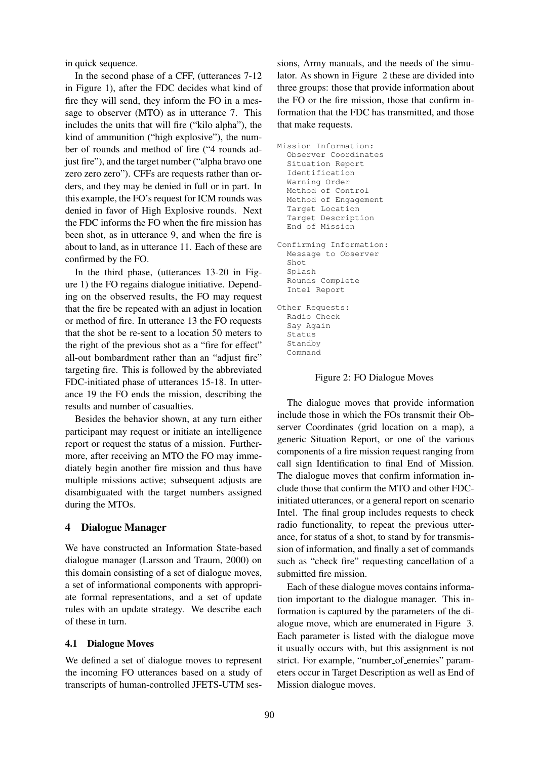in quick sequence.

In the second phase of a CFF, (utterances 7-12 in Figure 1), after the FDC decides what kind of fire they will send, they inform the FO in a message to observer (MTO) as in utterance 7. This includes the units that will fire ("kilo alpha"), the kind of ammunition ("high explosive"), the number of rounds and method of fire ("4 rounds adjust fire"), and the target number ("alpha bravo one zero zero zero"). CFFs are requests rather than orders, and they may be denied in full or in part. In this example, the FO's request for ICM rounds was denied in favor of High Explosive rounds. Next the FDC informs the FO when the fire mission has been shot, as in utterance 9, and when the fire is about to land, as in utterance 11. Each of these are confirmed by the FO.

In the third phase, (utterances 13-20 in Figure 1) the FO regains dialogue initiative. Depending on the observed results, the FO may request that the fire be repeated with an adjust in location or method of fire. In utterance 13 the FO requests that the shot be re-sent to a location 50 meters to the right of the previous shot as a "fire for effect" all-out bombardment rather than an "adjust fire" targeting fire. This is followed by the abbreviated FDC-initiated phase of utterances 15-18. In utterance 19 the FO ends the mission, describing the results and number of casualties.

Besides the behavior shown, at any turn either participant may request or initiate an intelligence report or request the status of a mission. Furthermore, after receiving an MTO the FO may immediately begin another fire mission and thus have multiple missions active; subsequent adjusts are disambiguated with the target numbers assigned during the MTOs.

### 4 Dialogue Manager

We have constructed an Information State-based dialogue manager (Larsson and Traum, 2000) on this domain consisting of a set of dialogue moves, a set of informational components with appropriate formal representations, and a set of update rules with an update strategy. We describe each of these in turn.

#### 4.1 Dialogue Moves

We defined a set of dialogue moves to represent the incoming FO utterances based on a study of transcripts of human-controlled JFETS-UTM sessions, Army manuals, and the needs of the simulator. As shown in Figure 2 these are divided into three groups: those that provide information about the FO or the fire mission, those that confirm information that the FDC has transmitted, and those that make requests.

```
Mission Information:
  Observer Coordinates
  Situation Report
  Identification
  Warning Order
  Method of Control
  Method of Engagement
  Target Location
  Target Description
  End of Mission
Confirming Information:
  Message to Observer
  Shot
  Splash
  Rounds Complete
  Intel Report
Other Requests:
  Radio Check
  Say Again
  Status
  Standby
  Command
```
Figure 2: FO Dialogue Moves

The dialogue moves that provide information include those in which the FOs transmit their Observer Coordinates (grid location on a map), a generic Situation Report, or one of the various components of a fire mission request ranging from call sign Identification to final End of Mission. The dialogue moves that confirm information include those that confirm the MTO and other FDCinitiated utterances, or a general report on scenario Intel. The final group includes requests to check radio functionality, to repeat the previous utterance, for status of a shot, to stand by for transmission of information, and finally a set of commands such as "check fire" requesting cancellation of a submitted fire mission.

Each of these dialogue moves contains information important to the dialogue manager. This information is captured by the parameters of the dialogue move, which are enumerated in Figure 3. Each parameter is listed with the dialogue move it usually occurs with, but this assignment is not strict. For example, "number\_of\_enemies" parameters occur in Target Description as well as End of Mission dialogue moves.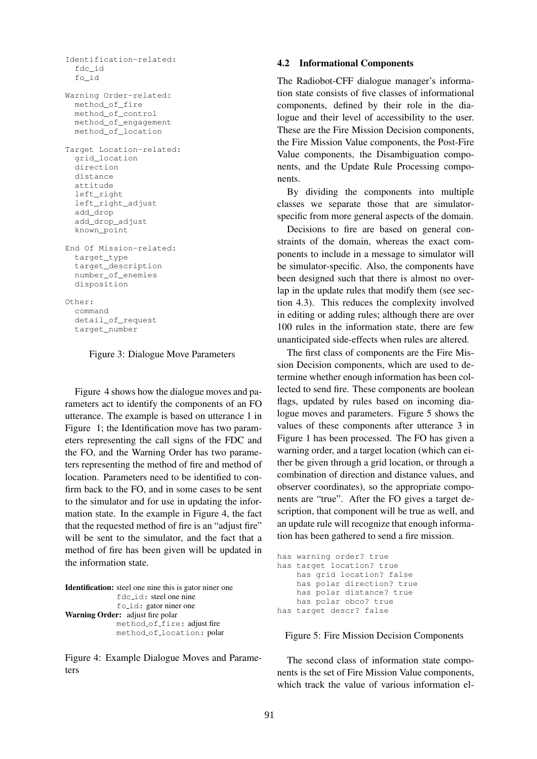```
Identification-related:
  fdc_id
  fo_id
Warning Order-related:
 method of fire
  method_of_control
  method_of_engagement
  method_of_location
Target Location-related:
  grid_location
  direction
  distance
  attitude
  left_right
  left_right_adjust
  add_drop
  add_drop_adjust
  known_point
End Of Mission-related:
  target_type
  target_description
  number_of_enemies
  disposition
Other:
  command
  detail_of_request
  target_number
```
Figure 3: Dialogue Move Parameters

Figure 4 shows how the dialogue moves and parameters act to identify the components of an FO utterance. The example is based on utterance 1 in Figure 1; the Identification move has two parameters representing the call signs of the FDC and the FO, and the Warning Order has two parameters representing the method of fire and method of location. Parameters need to be identified to confirm back to the FO, and in some cases to be sent to the simulator and for use in updating the information state. In the example in Figure 4, the fact that the requested method of fire is an "adjust fire" will be sent to the simulator, and the fact that a method of fire has been given will be updated in the information state.

```
Identification: steel one nine this is gator niner one
               fdc id: steel one nine
               fo<sub>-id:</sub> gator niner one
Warning Order: adjust fire polar
               method of fire: adjust fire
               method of location: polar
```
Figure 4: Example Dialogue Moves and Parameters

#### 4.2 Informational Components

The Radiobot-CFF dialogue manager's information state consists of five classes of informational components, defined by their role in the dialogue and their level of accessibility to the user. These are the Fire Mission Decision components, the Fire Mission Value components, the Post-Fire Value components, the Disambiguation components, and the Update Rule Processing components.

By dividing the components into multiple classes we separate those that are simulatorspecific from more general aspects of the domain.

Decisions to fire are based on general constraints of the domain, whereas the exact components to include in a message to simulator will be simulator-specific. Also, the components have been designed such that there is almost no overlap in the update rules that modify them (see section 4.3). This reduces the complexity involved in editing or adding rules; although there are over 100 rules in the information state, there are few unanticipated side-effects when rules are altered.

The first class of components are the Fire Mission Decision components, which are used to determine whether enough information has been collected to send fire. These components are boolean flags, updated by rules based on incoming dialogue moves and parameters. Figure 5 shows the values of these components after utterance 3 in Figure 1 has been processed. The FO has given a warning order, and a target location (which can either be given through a grid location, or through a combination of direction and distance values, and observer coordinates), so the appropriate components are "true". After the FO gives a target description, that component will be true as well, and an update rule will recognize that enough information has been gathered to send a fire mission.

```
has warning order? true
has target location? true
   has grid location? false
   has polar direction? true
   has polar distance? true
   has polar obco? true
has target descr? false
```
Figure 5: Fire Mission Decision Components

The second class of information state components is the set of Fire Mission Value components, which track the value of various information el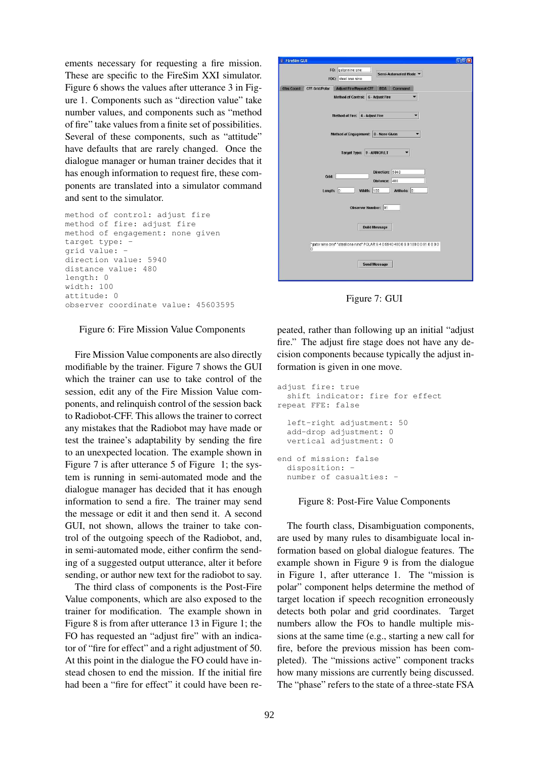ements necessary for requesting a fire mission. These are specific to the FireSim XXI simulator. Figure 6 shows the values after utterance 3 in Figure 1. Components such as "direction value" take number values, and components such as "method of fire" take values from a finite set of possibilities. Several of these components, such as "attitude" have defaults that are rarely changed. Once the dialogue manager or human trainer decides that it has enough information to request fire, these components are translated into a simulator command and sent to the simulator.

```
method of control: adjust fire
method of fire: adjust fire
method of engagement: none given
target type: -
grid value: -
direction value: 5940
distance value: 480
length: 0
width: 100
attitude: 0
observer coordinate value: 45603595
```
#### Figure 6: Fire Mission Value Components

Fire Mission Value components are also directly modifiable by the trainer. Figure 7 shows the GUI which the trainer can use to take control of the session, edit any of the Fire Mission Value components, and relinquish control of the session back to Radiobot-CFF. This allows the trainer to correct any mistakes that the Radiobot may have made or test the trainee's adaptability by sending the fire to an unexpected location. The example shown in Figure 7 is after utterance 5 of Figure 1; the system is running in semi-automated mode and the dialogue manager has decided that it has enough information to send a fire. The trainer may send the message or edit it and then send it. A second GUI, not shown, allows the trainer to take control of the outgoing speech of the Radiobot, and, in semi-automated mode, either confirm the sending of a suggested output utterance, alter it before sending, or author new text for the radiobot to say.

The third class of components is the Post-Fire Value components, which are also exposed to the trainer for modification. The example shown in Figure 8 is from after utterance 13 in Figure 1; the FO has requested an "adjust fire" with an indicator of "fire for effect" and a right adjustment of 50. At this point in the dialogue the FO could have instead chosen to end the mission. If the initial fire had been a "fire for effect" it could have been re-



Figure 7: GUI

peated, rather than following up an initial "adjust fire." The adjust fire stage does not have any decision components because typically the adjust information is given in one move.

```
adjust fire: true
  shift indicator: fire for effect
repeat FFE: false
  left-right adjustment: 50
  add-drop adjustment: 0
  vertical adjustment: 0
end of mission: false
  disposition: -
  number of casualties: -
```
#### Figure 8: Post-Fire Value Components

The fourth class, Disambiguation components, are used by many rules to disambiguate local information based on global dialogue features. The example shown in Figure 9 is from the dialogue in Figure 1, after utterance 1. The "mission is polar" component helps determine the method of target location if speech recognition erroneously detects both polar and grid coordinates. Target numbers allow the FOs to handle multiple missions at the same time (e.g., starting a new call for fire, before the previous mission has been completed). The "missions active" component tracks how many missions are currently being discussed. The "phase" refers to the state of a three-state FSA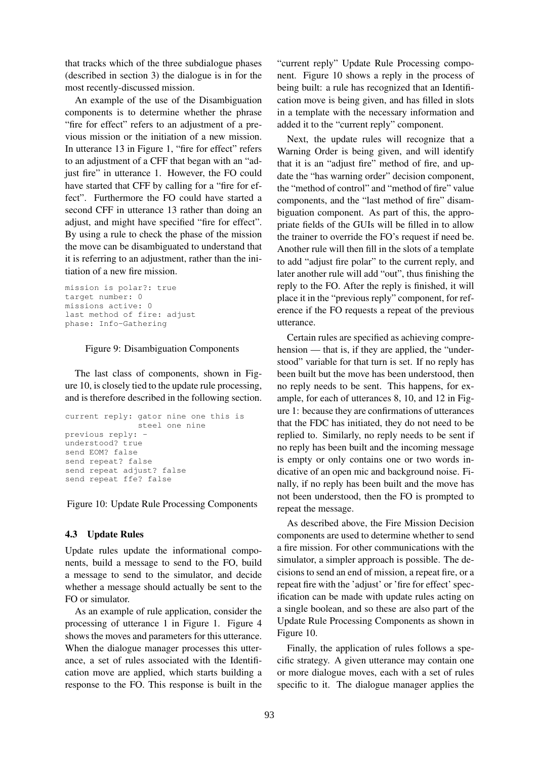that tracks which of the three subdialogue phases (described in section 3) the dialogue is in for the most recently-discussed mission.

An example of the use of the Disambiguation components is to determine whether the phrase "fire for effect" refers to an adjustment of a previous mission or the initiation of a new mission. In utterance 13 in Figure 1, "fire for effect" refers to an adjustment of a CFF that began with an "adjust fire" in utterance 1. However, the FO could have started that CFF by calling for a "fire for effect". Furthermore the FO could have started a second CFF in utterance 13 rather than doing an adjust, and might have specified "fire for effect". By using a rule to check the phase of the mission the move can be disambiguated to understand that it is referring to an adjustment, rather than the initiation of a new fire mission.

```
mission is polar?: true
target number: 0
missions active: 0
last method of fire: adjust
phase: Info-Gathering
```
#### Figure 9: Disambiguation Components

The last class of components, shown in Figure 10, is closely tied to the update rule processing, and is therefore described in the following section.

```
current reply: gator nine one this is
               steel one nine
previous reply: -
understood? true
send EOM? false
send repeat? false
send repeat adjust? false
send repeat ffe? false
```
Figure 10: Update Rule Processing Components

# 4.3 Update Rules

Update rules update the informational components, build a message to send to the FO, build a message to send to the simulator, and decide whether a message should actually be sent to the FO or simulator.

As an example of rule application, consider the processing of utterance 1 in Figure 1. Figure 4 shows the moves and parameters for this utterance. When the dialogue manager processes this utterance, a set of rules associated with the Identification move are applied, which starts building a response to the FO. This response is built in the "current reply" Update Rule Processing component. Figure 10 shows a reply in the process of being built: a rule has recognized that an Identification move is being given, and has filled in slots in a template with the necessary information and added it to the "current reply" component.

Next, the update rules will recognize that a Warning Order is being given, and will identify that it is an "adjust fire" method of fire, and update the "has warning order" decision component, the "method of control" and "method of fire" value components, and the "last method of fire" disambiguation component. As part of this, the appropriate fields of the GUIs will be filled in to allow the trainer to override the FO's request if need be. Another rule will then fill in the slots of a template to add "adjust fire polar" to the current reply, and later another rule will add "out", thus finishing the reply to the FO. After the reply is finished, it will place it in the "previous reply" component, for reference if the FO requests a repeat of the previous utterance.

Certain rules are specified as achieving comprehension — that is, if they are applied, the "understood" variable for that turn is set. If no reply has been built but the move has been understood, then no reply needs to be sent. This happens, for example, for each of utterances 8, 10, and 12 in Figure 1: because they are confirmations of utterances that the FDC has initiated, they do not need to be replied to. Similarly, no reply needs to be sent if no reply has been built and the incoming message is empty or only contains one or two words indicative of an open mic and background noise. Finally, if no reply has been built and the move has not been understood, then the FO is prompted to repeat the message.

As described above, the Fire Mission Decision components are used to determine whether to send a fire mission. For other communications with the simulator, a simpler approach is possible. The decisions to send an end of mission, a repeat fire, or a repeat fire with the 'adjust' or 'fire for effect' specification can be made with update rules acting on a single boolean, and so these are also part of the Update Rule Processing Components as shown in Figure 10.

Finally, the application of rules follows a specific strategy. A given utterance may contain one or more dialogue moves, each with a set of rules specific to it. The dialogue manager applies the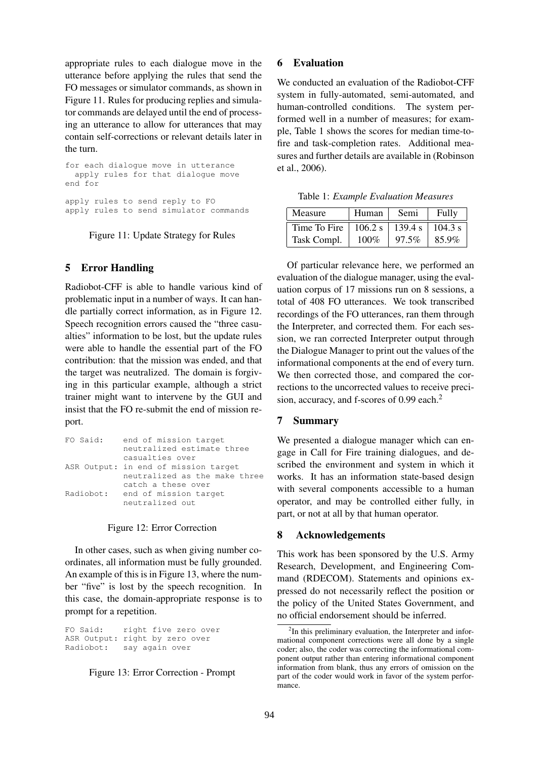appropriate rules to each dialogue move in the utterance before applying the rules that send the FO messages or simulator commands, as shown in Figure 11. Rules for producing replies and simulator commands are delayed until the end of processing an utterance to allow for utterances that may contain self-corrections or relevant details later in the turn.

for each dialogue move in utterance apply rules for that dialogue move end for apply rules to send reply to FO apply rules to send simulator commands

Figure 11: Update Strategy for Rules

# 5 Error Handling

Radiobot-CFF is able to handle various kind of problematic input in a number of ways. It can handle partially correct information, as in Figure 12. Speech recognition errors caused the "three casualties" information to be lost, but the update rules were able to handle the essential part of the FO contribution: that the mission was ended, and that the target was neutralized. The domain is forgiving in this particular example, although a strict trainer might want to intervene by the GUI and insist that the FO re-submit the end of mission report.

| FO Said:  | end of mission target                |  |  |  |
|-----------|--------------------------------------|--|--|--|
|           | neutralized estimate three           |  |  |  |
|           | casualties over                      |  |  |  |
|           | ASR Output: in end of mission target |  |  |  |
|           | neutralized as the make three        |  |  |  |
|           | catch a these over                   |  |  |  |
| Radiobot: | end of mission target                |  |  |  |
|           | neutralized out                      |  |  |  |
|           |                                      |  |  |  |

### Figure 12: Error Correction

In other cases, such as when giving number coordinates, all information must be fully grounded. An example of this is in Figure 13, where the number "five" is lost by the speech recognition. In this case, the domain-appropriate response is to prompt for a repetition.

FO Said: right five zero over ASR Output: right by zero over Radiobot: say again over

#### Figure 13: Error Correction - Prompt

### 6 Evaluation

We conducted an evaluation of the Radiobot-CFF system in fully-automated, semi-automated, and human-controlled conditions. The system performed well in a number of measures; for example, Table 1 shows the scores for median time-tofire and task-completion rates. Additional measures and further details are available in (Robinson et al., 2006).

Table 1: *Example Evaluation Measures*

| Measure      | Human   | Semi    | Fully   |
|--------------|---------|---------|---------|
| Time To Fire | 106.2 s | 139.4 s | 104.3 s |
| Task Compl.  | $100\%$ | 97.5%   | 85.9%   |

Of particular relevance here, we performed an evaluation of the dialogue manager, using the evaluation corpus of 17 missions run on 8 sessions, a total of 408 FO utterances. We took transcribed recordings of the FO utterances, ran them through the Interpreter, and corrected them. For each session, we ran corrected Interpreter output through the Dialogue Manager to print out the values of the informational components at the end of every turn. We then corrected those, and compared the corrections to the uncorrected values to receive precision, accuracy, and f-scores of 0.99 each.<sup>2</sup>

### 7 Summary

We presented a dialogue manager which can engage in Call for Fire training dialogues, and described the environment and system in which it works. It has an information state-based design with several components accessible to a human operator, and may be controlled either fully, in part, or not at all by that human operator.

#### 8 Acknowledgements

This work has been sponsored by the U.S. Army Research, Development, and Engineering Command (RDECOM). Statements and opinions expressed do not necessarily reflect the position or the policy of the United States Government, and no official endorsement should be inferred.

<sup>&</sup>lt;sup>2</sup>In this preliminary evaluation, the Interpreter and informational component corrections were all done by a single coder; also, the coder was correcting the informational component output rather than entering informational component information from blank, thus any errors of omission on the part of the coder would work in favor of the system performance.